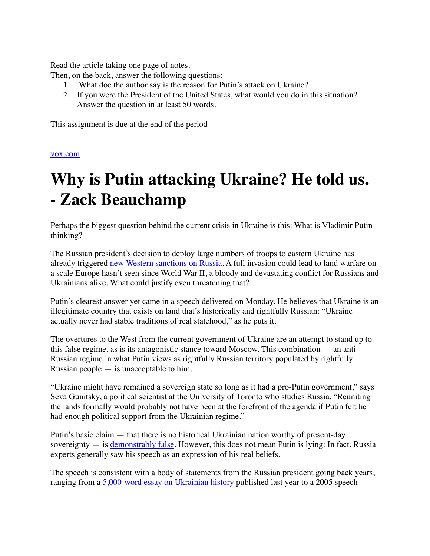Read the article taking one page of notes.

Then, on the back, answer the following questions:

- 1. What doe the author say is the reason for Putin's attack on Ukraine?
- 2. If you were the President of the United States, what would you do in this situation? Answer the question in at least 50 words.

This assignment is due at the end of the period

[vox.com](https://www.vox.com/policy-and-politics/2022/2/23/22945781/russia-ukraine-putin-speech-transcript-february-22)

## **Why is Putin attacking Ukraine? He told us. - Zack Beauchamp**

Perhaps the biggest question behind the current crisis in Ukraine is this: What is Vladimir Putin thinking?

The Russian president's decision to deploy large numbers of troops to eastern Ukraine has already triggered [new Western sanctions on Russia](https://twitter.com/SamRamani2/status/1496185563539460102). A full invasion could lead to land warfare on a scale Europe hasn't seen since World War II, a bloody and devastating conflict for Russians and Ukrainians alike. What could justify even threatening that?

Putin's clearest answer yet came in a speech delivered on Monday. He believes that Ukraine is an illegitimate country that exists on land that's historically and rightfully Russian: "Ukraine actually never had stable traditions of real statehood," as he puts it.

The overtures to the West from the current government of Ukraine are an attempt to stand up to this false regime, as is its antagonistic stance toward Moscow. This combination — an anti-Russian regime in what Putin views as rightfully Russian territory populated by rightfully Russian people — is unacceptable to him.

"Ukraine might have remained a sovereign state so long as it had a pro-Putin government," says Seva Gunitsky, a political scientist at the University of Toronto who studies Russia. "Reuniting the lands formally would probably not have been at the forefront of the agenda if Putin felt he had enough political support from the Ukrainian regime."

Putin's basic claim — that there is no historical Ukrainian nation worthy of present-day sovereignty — is [demonstrably false.](https://foreignpolicy.com/2022/02/22/putin-speech-ukraine-war-history-russia/) However, this does not mean Putin is lying: In fact, Russia experts generally saw his speech as an expression of his real beliefs.

The speech is consistent with a body of statements from the Russian president going back years, ranging from a [5,000-word essay on Ukrainian history](http://en.kremlin.ru/events/president/news/66181#sel=68:55:L6w,68:122:vnx;77:33:36j,77:71:rQx;82:1:W3l,83:55:lx3) published last year to a 2005 speech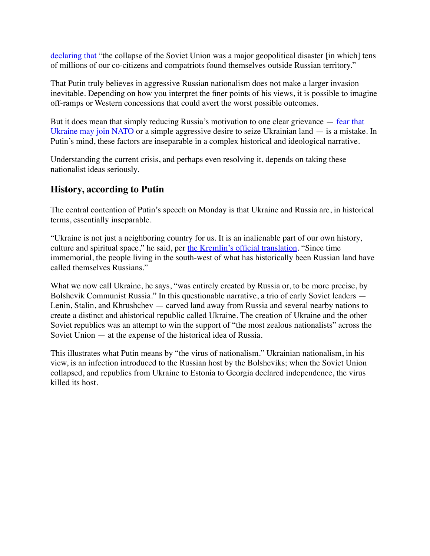[declaring that](http://en.kremlin.ru/events/president/transcripts/22931#sel=9:10:3VX,9:43:3Ux) "the collapse of the Soviet Union was a major geopolitical disaster [in which] tens of millions of our co-citizens and compatriots found themselves outside Russian territory."

That Putin truly believes in aggressive Russian nationalism does not make a larger invasion inevitable. Depending on how you interpret the finer points of his views, it is possible to imagine off-ramps or Western concessions that could avert the worst possible outcomes.

But it does mean that simply reducing Russia's motivation to one clear grievance  $-$  fear that [Ukraine may join NATO](https://www.vox.com/22900113/nato-ukraine-russia-crisis-clinton-expansion) or a simple aggressive desire to seize Ukrainian land — is a mistake. In Putin's mind, these factors are inseparable in a complex historical and ideological narrative.

Understanding the current crisis, and perhaps even resolving it, depends on taking these nationalist ideas seriously.

## **History, according to Putin**

The central contention of Putin's speech on Monday is that Ukraine and Russia are, in historical terms, essentially inseparable.

"Ukraine is not just a neighboring country for us. It is an inalienable part of our own history, culture and spiritual space," he said, per [the Kremlin's official translation](http://en.kremlin.ru/events/president/transcripts/67828#sel=8:9:vX6,8:24:UFE;19:1:b6m,19:26:Xov;34:1:H38,35:35:2rw;52:72:Wl6,53:55:l2j;60:20:Xr6,60:56:Xry;68:19:WNj,68:80:22Z;69:57:Lj2,70:24:ksw). "Since time immemorial, the people living in the south-west of what has historically been Russian land have called themselves Russians."

What we now call Ukraine, he says, "was entirely created by Russia or, to be more precise, by Bolshevik Communist Russia." In this questionable narrative, a trio of early Soviet leaders — Lenin, Stalin, and Khrushchev — carved land away from Russia and several nearby nations to create a distinct and ahistorical republic called Ukraine. The creation of Ukraine and the other Soviet republics was an attempt to win the support of "the most zealous nationalists" across the Soviet Union — at the expense of the historical idea of Russia.

This illustrates what Putin means by "the virus of nationalism." Ukrainian nationalism, in his view, is an infection introduced to the Russian host by the Bolsheviks; when the Soviet Union collapsed, and republics from Ukraine to Estonia to Georgia declared independence, the virus killed its host.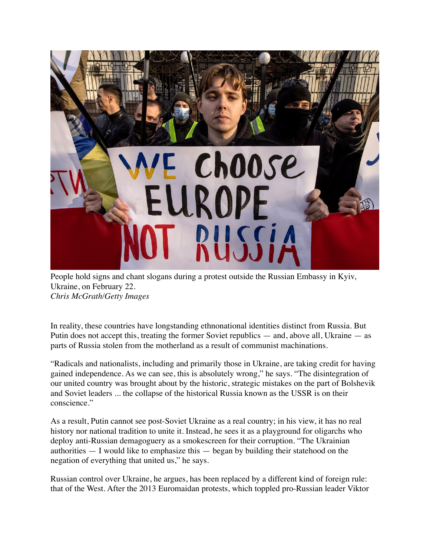

People hold signs and chant slogans during a protest outside the Russian Embassy in Kyiv, Ukraine, on February 22. *Chris McGrath/Getty Images*

In reality, these countries have longstanding ethnonational identities distinct from Russia. But Putin does not accept this, treating the former Soviet republics — and, above all, Ukraine — as parts of Russia stolen from the motherland as a result of communist machinations.

"Radicals and nationalists, including and primarily those in Ukraine, are taking credit for having gained independence. As we can see, this is absolutely wrong," he says. "The disintegration of our united country was brought about by the historic, strategic mistakes on the part of Bolshevik and Soviet leaders ... the collapse of the historical Russia known as the USSR is on their conscience."

As a result, Putin cannot see post-Soviet Ukraine as a real country; in his view, it has no real history nor national tradition to unite it. Instead, he sees it as a playground for oligarchs who deploy anti-Russian demagoguery as a smokescreen for their corruption. "The Ukrainian authorities  $-$  I would like to emphasize this  $-$  began by building their statehood on the negation of everything that united us," he says.

Russian control over Ukraine, he argues, has been replaced by a different kind of foreign rule: that of the West. After the 2013 Euromaidan protests, which toppled pro-Russian leader Viktor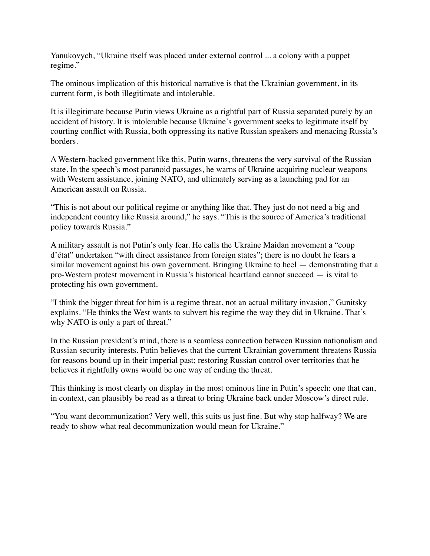Yanukovych, "Ukraine itself was placed under external control ... a colony with a puppet regime."

The ominous implication of this historical narrative is that the Ukrainian government, in its current form, is both illegitimate and intolerable.

It is illegitimate because Putin views Ukraine as a rightful part of Russia separated purely by an accident of history. It is intolerable because Ukraine's government seeks to legitimate itself by courting conflict with Russia, both oppressing its native Russian speakers and menacing Russia's borders.

A Western-backed government like this, Putin warns, threatens the very survival of the Russian state. In the speech's most paranoid passages, he warns of Ukraine acquiring nuclear weapons with Western assistance, joining NATO, and ultimately serving as a launching pad for an American assault on Russia.

"This is not about our political regime or anything like that. They just do not need a big and independent country like Russia around," he says. "This is the source of America's traditional policy towards Russia."

A military assault is not Putin's only fear. He calls the Ukraine Maidan movement a "coup d'état" undertaken "with direct assistance from foreign states"; there is no doubt he fears a similar movement against his own government. Bringing Ukraine to heel — demonstrating that a pro-Western protest movement in Russia's historical heartland cannot succeed — is vital to protecting his own government.

"I think the bigger threat for him is a regime threat, not an actual military invasion," Gunitsky explains. "He thinks the West wants to subvert his regime the way they did in Ukraine. That's why NATO is only a part of threat."

In the Russian president's mind, there is a seamless connection between Russian nationalism and Russian security interests. Putin believes that the current Ukrainian government threatens Russia for reasons bound up in their imperial past; restoring Russian control over territories that he believes it rightfully owns would be one way of ending the threat.

This thinking is most clearly on display in the most ominous line in Putin's speech: one that can, in context, can plausibly be read as a threat to bring Ukraine back under Moscow's direct rule.

"You want decommunization? Very well, this suits us just fine. But why stop halfway? We are ready to show what real decommunization would mean for Ukraine."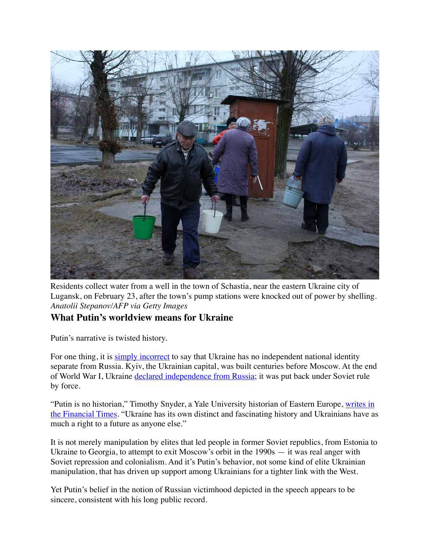

Residents collect water from a well in the town of Schastia, near the eastern Ukraine city of Lugansk, on February 23, after the town's pump stations were knocked out of power by shelling. *Anatolii Stepanov/AFP via Getty Images*

## **What Putin's worldview means for Ukraine**

Putin's narrative is twisted history.

For one thing, it is [simply incorrect](https://www.ft.com/content/1df8a99b-804c-467b-98e1-ce8b47b5b513?shareType=nongift) to say that Ukraine has no independent national identity separate from Russia. Kyiv, the Ukrainian capital, was built centuries before Moscow. At the end of World War I, Ukraine [declared independence from Russia;](https://www.history.com/this-day-in-history/ukraine-declares-its-independence) it was put back under Soviet rule by force.

"Putin is no historian," Timothy Snyder, a Yale University historian of Eastern Europe, [writes in](https://www.ft.com/content/1df8a99b-804c-467b-98e1-ce8b47b5b513?shareType=nongift)  [the Financial Times.](https://www.ft.com/content/1df8a99b-804c-467b-98e1-ce8b47b5b513?shareType=nongift) "Ukraine has its own distinct and fascinating history and Ukrainians have as much a right to a future as anyone else."

It is not merely manipulation by elites that led people in former Soviet republics, from Estonia to Ukraine to Georgia, to attempt to exit Moscow's orbit in the 1990s — it was real anger with Soviet repression and colonialism. And it's Putin's behavior, not some kind of elite Ukrainian manipulation, that has driven up support among Ukrainians for a tighter link with the West.

Yet Putin's belief in the notion of Russian victimhood depicted in the speech appears to be sincere, consistent with his long public record.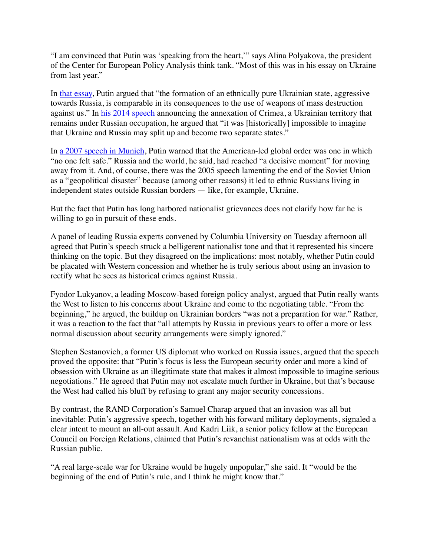"I am convinced that Putin was 'speaking from the heart,'" says Alina Polyakova, the president of the Center for European Policy Analysis think tank. "Most of this was in his essay on Ukraine from last year."

In [that essay,](http://en.kremlin.ru/events/president/news/66181#sel=68:55:L6w,68:122:vnx;77:33:36j,77:71:rQx;82:1:W3l,83:55:lx3) Putin argued that "the formation of an ethnically pure Ukrainian state, aggressive towards Russia, is comparable in its consequences to the use of weapons of mass destruction against us." In [his 2014 speech](http://en.kremlin.ru/events/president/news/20603) announcing the annexation of Crimea, a Ukrainian territory that remains under Russian occupation, he argued that "it was [historically] impossible to imagine that Ukraine and Russia may split up and become two separate states."

In [a 2007 speech in Munich,](http://en.kremlin.ru/events/president/transcripts/24034#sel=51:28:Qqy,52:81:31n) Putin warned that the American-led global order was one in which "no one felt safe." Russia and the world, he said, had reached "a decisive moment" for moving away from it. And, of course, there was the 2005 speech lamenting the end of the Soviet Union as a "geopolitical disaster" because (among other reasons) it led to ethnic Russians living in independent states outside Russian borders — like, for example, Ukraine.

But the fact that Putin has long harbored nationalist grievances does not clarify how far he is willing to go in pursuit of these ends.

A panel of leading Russia experts convened by Columbia University on Tuesday afternoon all agreed that Putin's speech struck a belligerent nationalist tone and that it represented his sincere thinking on the topic. But they disagreed on the implications: most notably, whether Putin could be placated with Western concession and whether he is truly serious about using an invasion to rectify what he sees as historical crimes against Russia.

Fyodor Lukyanov, a leading Moscow-based foreign policy analyst, argued that Putin really wants the West to listen to his concerns about Ukraine and come to the negotiating table. "From the beginning," he argued, the buildup on Ukrainian borders "was not a preparation for war." Rather, it was a reaction to the fact that "all attempts by Russia in previous years to offer a more or less normal discussion about security arrangements were simply ignored."

Stephen Sestanovich, a former US diplomat who worked on Russia issues, argued that the speech proved the opposite: that "Putin's focus is less the European security order and more a kind of obsession with Ukraine as an illegitimate state that makes it almost impossible to imagine serious negotiations." He agreed that Putin may not escalate much further in Ukraine, but that's because the West had called his bluff by refusing to grant any major security concessions.

By contrast, the RAND Corporation's Samuel Charap argued that an invasion was all but inevitable: Putin's aggressive speech, together with his forward military deployments, signaled a clear intent to mount an all-out assault. And Kadri Liik, a senior policy fellow at the European Council on Foreign Relations, claimed that Putin's revanchist nationalism was at odds with the Russian public.

"A real large-scale war for Ukraine would be hugely unpopular," she said. It "would be the beginning of the end of Putin's rule, and I think he might know that."